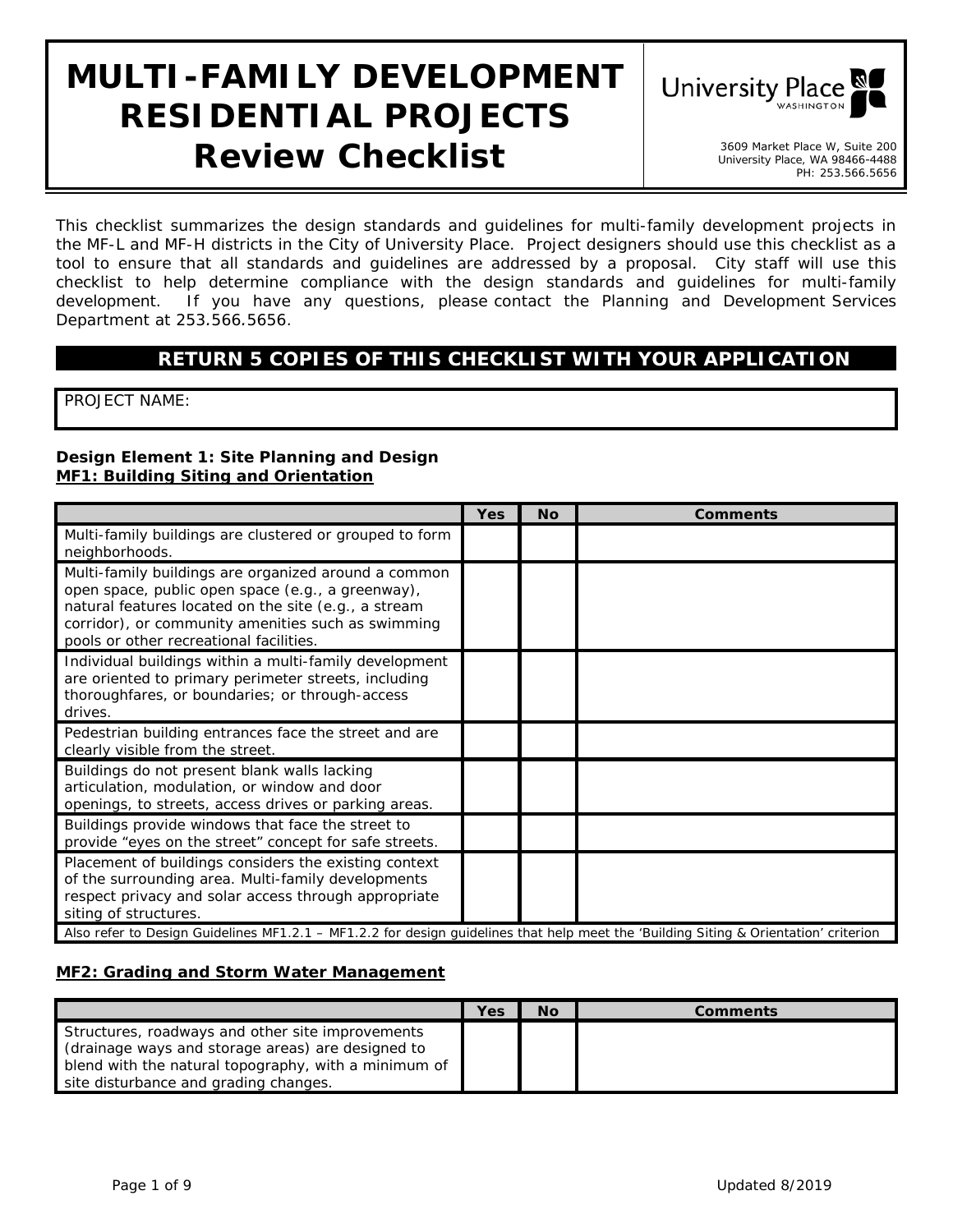# **MULTI-FAMILY DEVELOPMENT RESIDENTIAL PROJECTS Review Checklist** 3609 Market Place W, Suite 200



University Place, WA 98466-4488 PH: 253.566.5656

*This checklist summarizes the design standards and guidelines for multi-family development projects in the MF-L and MF-H districts in the City of University Place. Project designers should use this checklist as a*  tool to ensure that all standards and guidelines are addressed by a proposal. City staff will use this *checklist to help determine compliance with the design standards and guidelines for multi-family development. If you have any questions, please contact the Planning and Development Services Department at 253.566.5656.* 

## **RETURN 5 COPIES OF THIS CHECKLIST WITH YOUR APPLICATION**

PROJECT NAME:

#### **Design Element 1: Site Planning and Design MF1: Building Siting and Orientation**

|                                                                                                                                                                                                                                                                    | <b>Yes</b> | <b>No</b> | <b>Comments</b> |  |  |
|--------------------------------------------------------------------------------------------------------------------------------------------------------------------------------------------------------------------------------------------------------------------|------------|-----------|-----------------|--|--|
| Multi-family buildings are clustered or grouped to form<br>neighborhoods.                                                                                                                                                                                          |            |           |                 |  |  |
| Multi-family buildings are organized around a common<br>open space, public open space (e.g., a greenway),<br>natural features located on the site (e.g., a stream<br>corridor), or community amenities such as swimming<br>pools or other recreational facilities. |            |           |                 |  |  |
| Individual buildings within a multi-family development<br>are oriented to primary perimeter streets, including<br>thoroughfares, or boundaries; or through-access<br>drives.                                                                                       |            |           |                 |  |  |
| Pedestrian building entrances face the street and are<br>clearly visible from the street.                                                                                                                                                                          |            |           |                 |  |  |
| Buildings do not present blank walls lacking<br>articulation, modulation, or window and door<br>openings, to streets, access drives or parking areas.                                                                                                              |            |           |                 |  |  |
| Buildings provide windows that face the street to<br>provide "eyes on the street" concept for safe streets.                                                                                                                                                        |            |           |                 |  |  |
| Placement of buildings considers the existing context<br>of the surrounding area. Multi-family developments<br>respect privacy and solar access through appropriate<br>siting of structures.                                                                       |            |           |                 |  |  |
| Also refer to Design Guidelines MF1.2.1 - MF1.2.2 for design guidelines that help meet the 'Building Siting & Orientation' criterion                                                                                                                               |            |           |                 |  |  |

#### **MF2: Grading and Storm Water Management**

|                                                                                                           | Yes | No | Comments |
|-----------------------------------------------------------------------------------------------------------|-----|----|----------|
| Structures, roadways and other site improvements                                                          |     |    |          |
| (drainage ways and storage areas) are designed to<br>blend with the natural topography, with a minimum of |     |    |          |
| site disturbance and grading changes.                                                                     |     |    |          |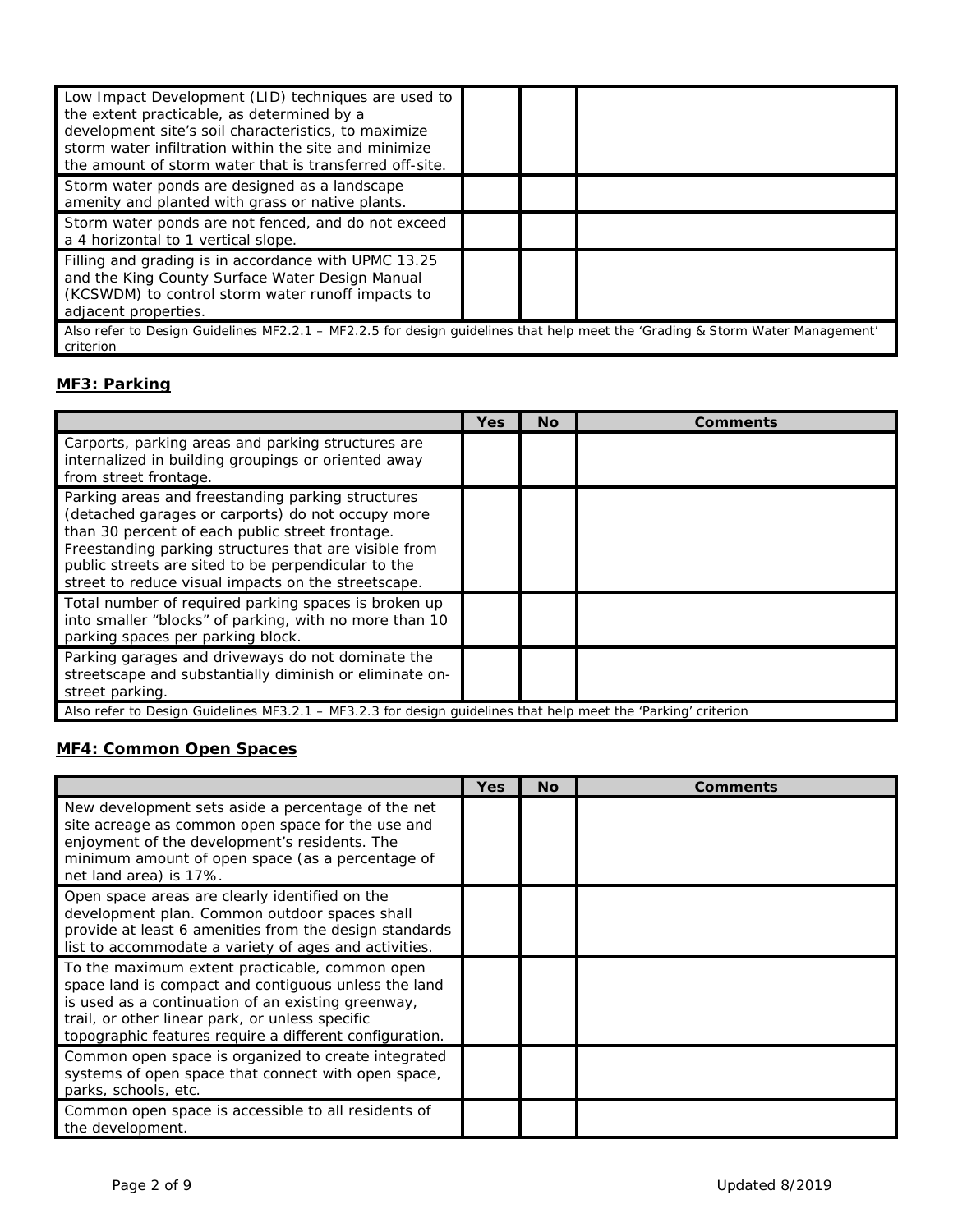| Low Impact Development (LID) techniques are used to<br>the extent practicable, as determined by a<br>development site's soil characteristics, to maximize<br>storm water infiltration within the site and minimize<br>the amount of storm water that is transferred off-site. |  |  |  |  |
|-------------------------------------------------------------------------------------------------------------------------------------------------------------------------------------------------------------------------------------------------------------------------------|--|--|--|--|
| Storm water ponds are designed as a landscape<br>amenity and planted with grass or native plants.                                                                                                                                                                             |  |  |  |  |
| Storm water ponds are not fenced, and do not exceed<br>a 4 horizontal to 1 vertical slope.                                                                                                                                                                                    |  |  |  |  |
| Filling and grading is in accordance with UPMC 13.25<br>and the King County Surface Water Design Manual<br>(KCSWDM) to control storm water runoff impacts to<br>adjacent properties.                                                                                          |  |  |  |  |
| Also refer to Design Guidelines MF2.2.1 - MF2.2.5 for design guidelines that help meet the 'Grading & Storm Water Management'<br>criterion                                                                                                                                    |  |  |  |  |

## **MF3: Parking**

|                                                                                                                                                                                                                                                                                                                                  | Yes | <b>No</b> | Comments |
|----------------------------------------------------------------------------------------------------------------------------------------------------------------------------------------------------------------------------------------------------------------------------------------------------------------------------------|-----|-----------|----------|
| Carports, parking areas and parking structures are<br>internalized in building groupings or oriented away<br>from street frontage.                                                                                                                                                                                               |     |           |          |
| Parking areas and freestanding parking structures<br>(detached garages or carports) do not occupy more<br>than 30 percent of each public street frontage.<br>Freestanding parking structures that are visible from<br>public streets are sited to be perpendicular to the<br>street to reduce visual impacts on the streetscape. |     |           |          |
| Total number of required parking spaces is broken up<br>into smaller "blocks" of parking, with no more than 10<br>parking spaces per parking block.                                                                                                                                                                              |     |           |          |
| Parking garages and driveways do not dominate the<br>streetscape and substantially diminish or eliminate on-<br>street parking.                                                                                                                                                                                                  |     |           |          |
| Also refer to Design Guidelines MF3.2.1 – MF3.2.3 for design guidelines that help meet the 'Parking' criterion                                                                                                                                                                                                                   |     |           |          |

# **MF4: Common Open Spaces**

|                                                                                                                                                                                                                                                                            | Yes | <b>No</b> | <b>Comments</b> |
|----------------------------------------------------------------------------------------------------------------------------------------------------------------------------------------------------------------------------------------------------------------------------|-----|-----------|-----------------|
| New development sets aside a percentage of the net<br>site acreage as common open space for the use and<br>enjoyment of the development's residents. The<br>minimum amount of open space (as a percentage of<br>net land area) is 17%.                                     |     |           |                 |
| Open space areas are clearly identified on the<br>development plan. Common outdoor spaces shall<br>provide at least 6 amenities from the design standards<br>list to accommodate a variety of ages and activities.                                                         |     |           |                 |
| To the maximum extent practicable, common open<br>space land is compact and contiguous unless the land<br>is used as a continuation of an existing greenway,<br>trail, or other linear park, or unless specific<br>topographic features require a different configuration. |     |           |                 |
| Common open space is organized to create integrated<br>systems of open space that connect with open space,<br>parks, schools, etc.                                                                                                                                         |     |           |                 |
| Common open space is accessible to all residents of<br>the development.                                                                                                                                                                                                    |     |           |                 |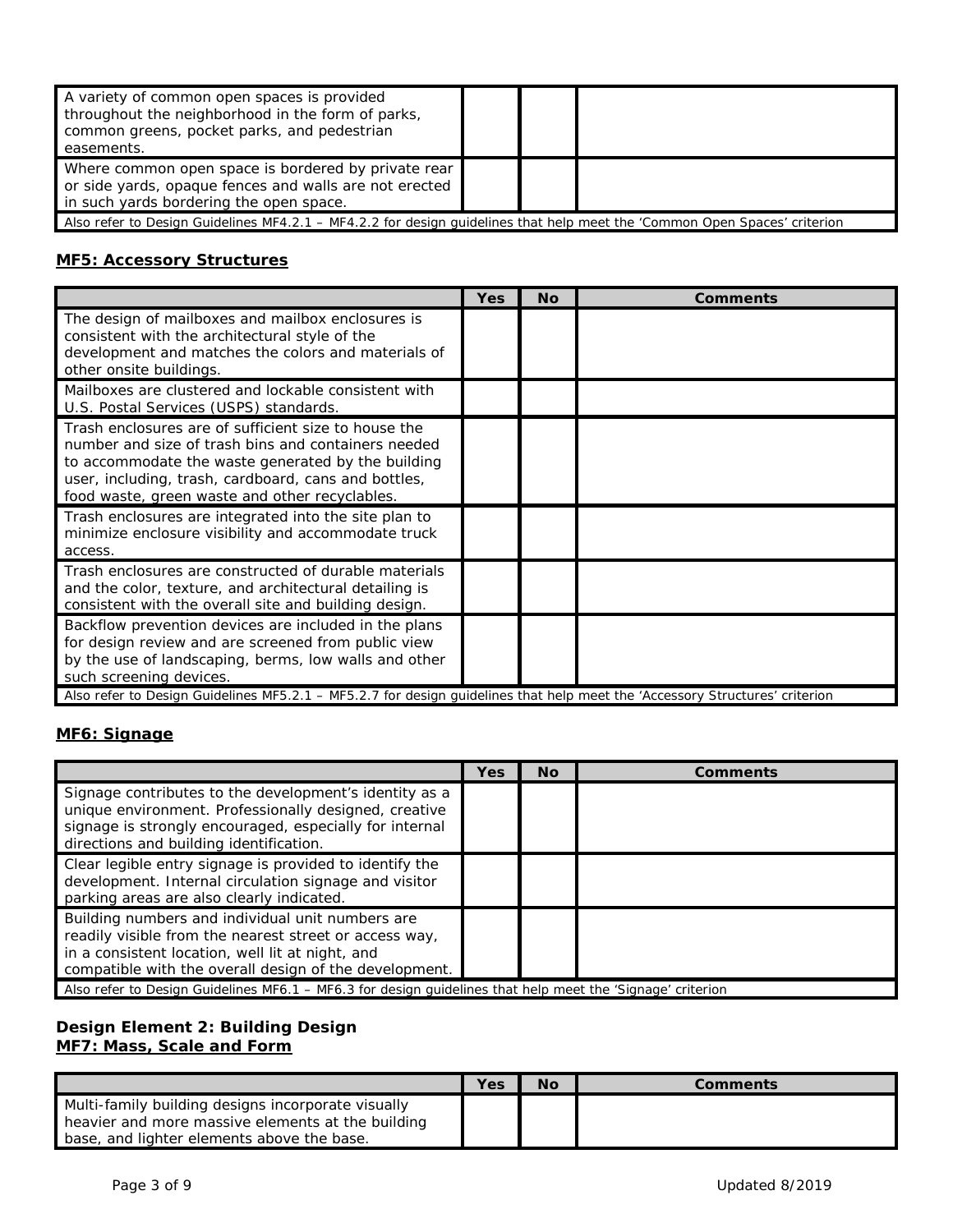| A variety of common open spaces is provided<br>throughout the neighborhood in the form of parks,<br>common greens, pocket parks, and pedestrian<br>easements. |  |  |  |  |
|---------------------------------------------------------------------------------------------------------------------------------------------------------------|--|--|--|--|
| Where common open space is bordered by private rear<br>or side yards, opaque fences and walls are not erected<br>in such yards bordering the open space.      |  |  |  |  |
| Also refer to Design Guidelines MF4.2.1 – MF4.2.2 for design guidelines that help meet the 'Common Open Spaces' criterion                                     |  |  |  |  |

#### **MF5: Accessory Structures**

|                                                                                                                                                                                                                                                                             | Yes | Nο | <b>Comments</b> |
|-----------------------------------------------------------------------------------------------------------------------------------------------------------------------------------------------------------------------------------------------------------------------------|-----|----|-----------------|
| The design of mailboxes and mailbox enclosures is<br>consistent with the architectural style of the<br>development and matches the colors and materials of<br>other onsite buildings.                                                                                       |     |    |                 |
| Mailboxes are clustered and lockable consistent with<br>U.S. Postal Services (USPS) standards.                                                                                                                                                                              |     |    |                 |
| Trash enclosures are of sufficient size to house the<br>number and size of trash bins and containers needed<br>to accommodate the waste generated by the building<br>user, including, trash, cardboard, cans and bottles,<br>food waste, green waste and other recyclables. |     |    |                 |
| Trash enclosures are integrated into the site plan to<br>minimize enclosure visibility and accommodate truck<br>access.                                                                                                                                                     |     |    |                 |
| Trash enclosures are constructed of durable materials<br>and the color, texture, and architectural detailing is<br>consistent with the overall site and building design.                                                                                                    |     |    |                 |
| Backflow prevention devices are included in the plans<br>for design review and are screened from public view<br>by the use of landscaping, berms, low walls and other<br>such screening devices.                                                                            |     |    |                 |
| Also refer to Design Guidelines MF5.2.1 – MF5.2.7 for design quidelines that help meet the 'Accessory Structures' criterion                                                                                                                                                 |     |    |                 |

# **MF6: Signage**

|                                                                                                                                                                                                                          | Yes | <b>No</b> | Comments |
|--------------------------------------------------------------------------------------------------------------------------------------------------------------------------------------------------------------------------|-----|-----------|----------|
| Signage contributes to the development's identity as a<br>unique environment. Professionally designed, creative<br>signage is strongly encouraged, especially for internal<br>directions and building identification.    |     |           |          |
| Clear legible entry signage is provided to identify the<br>development. Internal circulation signage and visitor<br>parking areas are also clearly indicated.                                                            |     |           |          |
| Building numbers and individual unit numbers are<br>readily visible from the nearest street or access way,<br>in a consistent location, well lit at night, and<br>compatible with the overall design of the development. |     |           |          |
| Also refer to Design Guidelines MF6.1 - MF6.3 for design guidelines that help meet the 'Signage' criterion                                                                                                               |     |           |          |

#### **Design Element 2: Building Design MF7: Mass, Scale and Form**

|                                                                                                                                                       | Yes | Νo | Comments |
|-------------------------------------------------------------------------------------------------------------------------------------------------------|-----|----|----------|
| Multi-family building designs incorporate visually<br>heavier and more massive elements at the building<br>base, and lighter elements above the base. |     |    |          |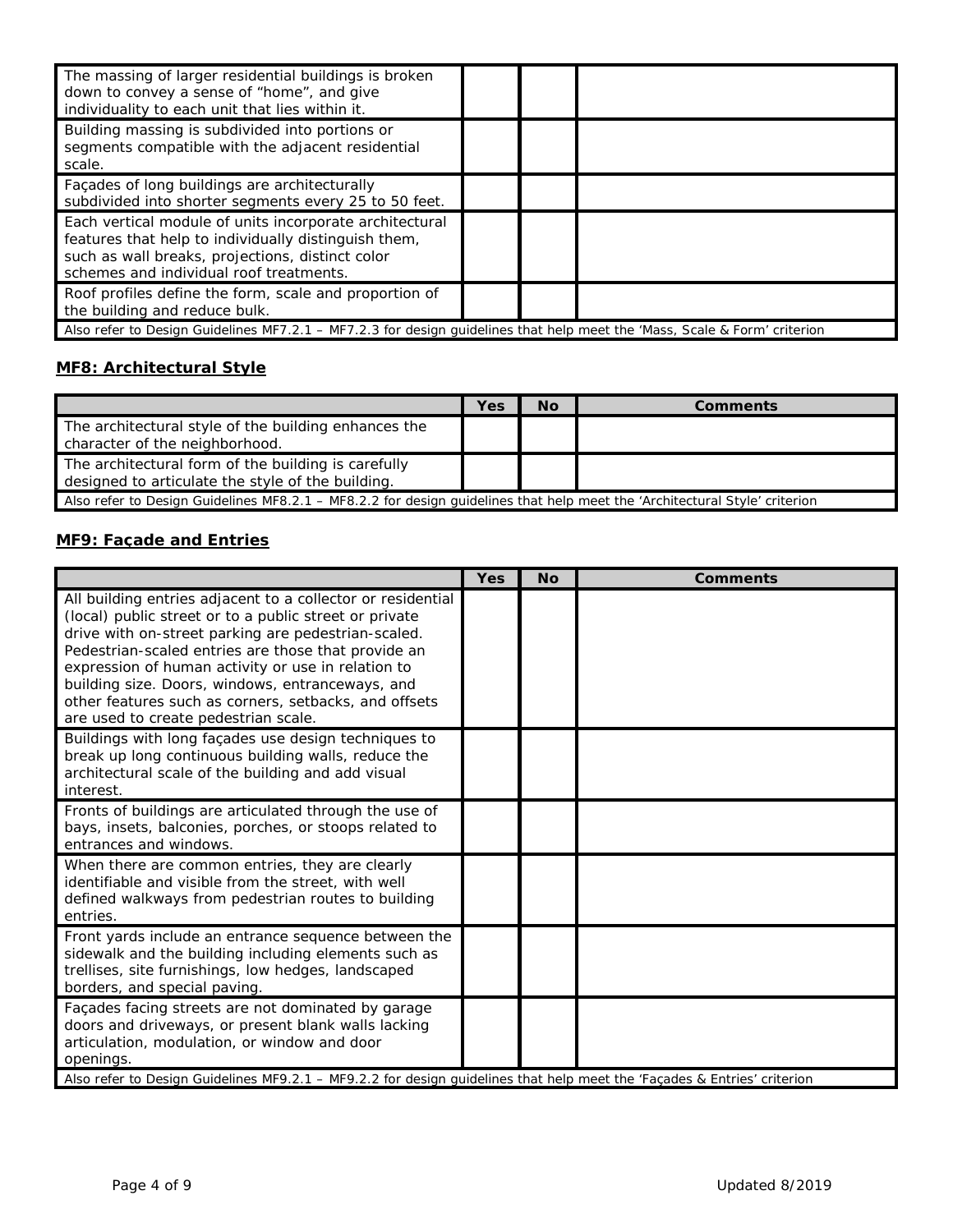| The massing of larger residential buildings is broken<br>down to convey a sense of "home", and give<br>individuality to each unit that lies within it.                                                         |  |  |
|----------------------------------------------------------------------------------------------------------------------------------------------------------------------------------------------------------------|--|--|
| Building massing is subdivided into portions or<br>segments compatible with the adjacent residential<br>scale.                                                                                                 |  |  |
| Façades of long buildings are architecturally<br>subdivided into shorter segments every 25 to 50 feet.                                                                                                         |  |  |
| Each vertical module of units incorporate architectural<br>features that help to individually distinguish them,<br>such as wall breaks, projections, distinct color<br>schemes and individual roof treatments. |  |  |
| Roof profiles define the form, scale and proportion of<br>the building and reduce bulk.                                                                                                                        |  |  |
| Also refer to Design Guidelines MF7.2.1 – MF7.2.3 for design guidelines that help meet the 'Mass, Scale & Form' criterion                                                                                      |  |  |

## **MF8: Architectural Style**

|                                                                                                                            | Yes | <b>No</b> | <b>Comments</b> |
|----------------------------------------------------------------------------------------------------------------------------|-----|-----------|-----------------|
| The architectural style of the building enhances the<br>character of the neighborhood.                                     |     |           |                 |
| The architectural form of the building is carefully<br>designed to articulate the style of the building.                   |     |           |                 |
| Also refer to Design Guidelines MF8.2.1 – MF8.2.2 for design quidelines that help meet the 'Architectural Style' criterion |     |           |                 |

## **MF9: Façade and Entries**

|                                                                                                                                                                                                                                                                                                                                                                                                                                                | <b>Yes</b> | <b>No</b> | <b>Comments</b> |
|------------------------------------------------------------------------------------------------------------------------------------------------------------------------------------------------------------------------------------------------------------------------------------------------------------------------------------------------------------------------------------------------------------------------------------------------|------------|-----------|-----------------|
| All building entries adjacent to a collector or residential<br>(local) public street or to a public street or private<br>drive with on-street parking are pedestrian-scaled.<br>Pedestrian-scaled entries are those that provide an<br>expression of human activity or use in relation to<br>building size. Doors, windows, entranceways, and<br>other features such as corners, setbacks, and offsets<br>are used to create pedestrian scale. |            |           |                 |
| Buildings with long façades use design techniques to<br>break up long continuous building walls, reduce the<br>architectural scale of the building and add visual<br>interest.                                                                                                                                                                                                                                                                 |            |           |                 |
| Fronts of buildings are articulated through the use of<br>bays, insets, balconies, porches, or stoops related to<br>entrances and windows.                                                                                                                                                                                                                                                                                                     |            |           |                 |
| When there are common entries, they are clearly<br>identifiable and visible from the street, with well<br>defined walkways from pedestrian routes to building<br>entries.                                                                                                                                                                                                                                                                      |            |           |                 |
| Front yards include an entrance sequence between the<br>sidewalk and the building including elements such as<br>trellises, site furnishings, low hedges, landscaped<br>borders, and special paving.                                                                                                                                                                                                                                            |            |           |                 |
| Façades facing streets are not dominated by garage<br>doors and driveways, or present blank walls lacking<br>articulation, modulation, or window and door<br>openings.<br>Also refer to Design Guidelines MF9.2.1 - MF9.2.2 for design guidelines that help meet the 'Façades & Entries' criterion                                                                                                                                             |            |           |                 |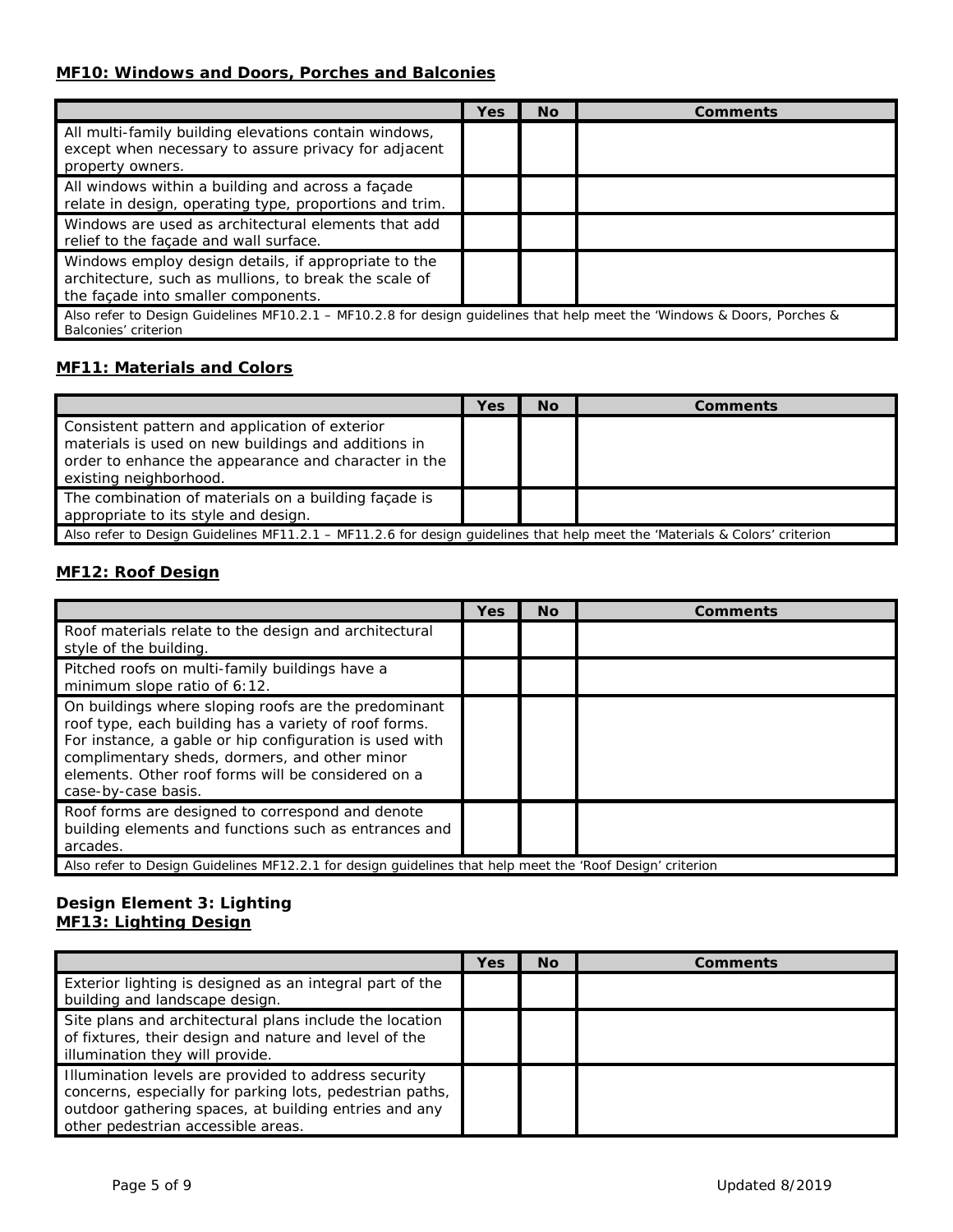#### **MF10: Windows and Doors, Porches and Balconies**

|                                                                                                                                                      | Yes | <b>No</b> | Comments |
|------------------------------------------------------------------------------------------------------------------------------------------------------|-----|-----------|----------|
| All multi-family building elevations contain windows,<br>except when necessary to assure privacy for adjacent<br>property owners.                    |     |           |          |
| All windows within a building and across a façade<br>relate in design, operating type, proportions and trim.                                         |     |           |          |
| Windows are used as architectural elements that add<br>relief to the facade and wall surface.                                                        |     |           |          |
| Windows employ design details, if appropriate to the<br>architecture, such as mullions, to break the scale of<br>the façade into smaller components. |     |           |          |
| Also refer to Design Guidelines MF10.2.1 - MF10.2.8 for design guidelines that help meet the 'Windows & Doors, Porches &<br>Balconies' criterion     |     |           |          |

#### **MF11: Materials and Colors**

|                                                                                                                                                                                         | Yes | No | Comments |  |
|-----------------------------------------------------------------------------------------------------------------------------------------------------------------------------------------|-----|----|----------|--|
| Consistent pattern and application of exterior<br>materials is used on new buildings and additions in<br>order to enhance the appearance and character in the<br>existing neighborhood. |     |    |          |  |
| The combination of materials on a building façade is<br>appropriate to its style and design.                                                                                            |     |    |          |  |
| Also refer to Design Guidelines MF11.2.1 – MF11.2.6 for design guidelines that help meet the 'Materials & Colors' criterion                                                             |     |    |          |  |

#### **MF12: Roof Design**

|                                                                                                                                                                                                                                                                                                        | <b>Yes</b> | <b>No</b> | Comments |  |
|--------------------------------------------------------------------------------------------------------------------------------------------------------------------------------------------------------------------------------------------------------------------------------------------------------|------------|-----------|----------|--|
| Roof materials relate to the design and architectural<br>style of the building.                                                                                                                                                                                                                        |            |           |          |  |
| Pitched roofs on multi-family buildings have a<br>minimum slope ratio of 6:12.                                                                                                                                                                                                                         |            |           |          |  |
| On buildings where sloping roofs are the predominant<br>roof type, each building has a variety of roof forms.<br>For instance, a gable or hip configuration is used with<br>complimentary sheds, dormers, and other minor<br>elements. Other roof forms will be considered on a<br>case-by-case basis. |            |           |          |  |
| Roof forms are designed to correspond and denote<br>building elements and functions such as entrances and<br>arcades.                                                                                                                                                                                  |            |           |          |  |
| Also refer to Design Guidelines MF12.2.1 for design guidelines that help meet the 'Roof Design' criterion                                                                                                                                                                                              |            |           |          |  |

#### **Design Element 3: Lighting MF13: Lighting Design**

|                                                                                                                                                                                                                 | Yes | <b>No</b> | Comments |
|-----------------------------------------------------------------------------------------------------------------------------------------------------------------------------------------------------------------|-----|-----------|----------|
| Exterior lighting is designed as an integral part of the<br>building and landscape design.                                                                                                                      |     |           |          |
| Site plans and architectural plans include the location<br>of fixtures, their design and nature and level of the<br>illumination they will provide.                                                             |     |           |          |
| Illumination levels are provided to address security<br>concerns, especially for parking lots, pedestrian paths,<br>outdoor gathering spaces, at building entries and any<br>other pedestrian accessible areas. |     |           |          |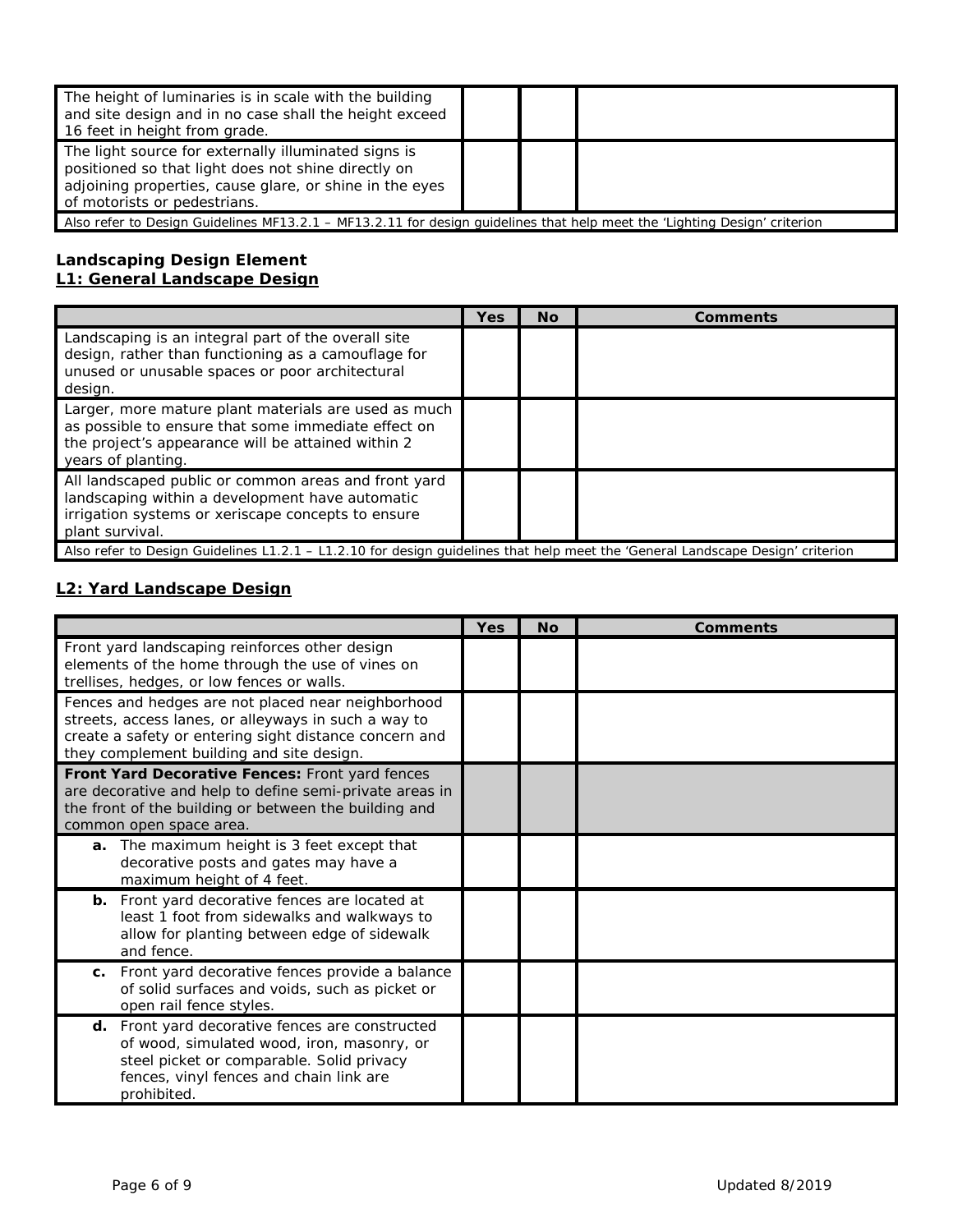| The height of luminaries is in scale with the building<br>and site design and in no case shall the height exceed<br>16 feet in height from grade.                                                      |  |  |  |
|--------------------------------------------------------------------------------------------------------------------------------------------------------------------------------------------------------|--|--|--|
| The light source for externally illuminated signs is<br>positioned so that light does not shine directly on<br>adjoining properties, cause glare, or shine in the eyes<br>of motorists or pedestrians. |  |  |  |
| Also refer to Design Guidelines MF13.2.1 – MF13.2.11 for design quidelines that help meet the 'Lighting Design' criterion                                                                              |  |  |  |

#### **Landscaping Design Element L1: General Landscape Design**

|                                                                                                                                                                                         | Yes | No. | <b>Comments</b> |
|-----------------------------------------------------------------------------------------------------------------------------------------------------------------------------------------|-----|-----|-----------------|
| Landscaping is an integral part of the overall site<br>design, rather than functioning as a camouflage for<br>unused or unusable spaces or poor architectural<br>design.                |     |     |                 |
| Larger, more mature plant materials are used as much<br>as possible to ensure that some immediate effect on<br>the project's appearance will be attained within 2<br>years of planting. |     |     |                 |
| All landscaped public or common areas and front yard<br>landscaping within a development have automatic<br>irrigation systems or xeriscape concepts to ensure<br>plant survival.        |     |     |                 |
| Also refer to Design Guidelines L1.2.1 – L1.2.10 for design quidelines that help meet the 'General Landscape Design' criterion                                                          |     |     |                 |

## **L2: Yard Landscape Design**

|                                                                                                                                                                                                                   | <b>Yes</b> | <b>No</b> | <b>Comments</b> |
|-------------------------------------------------------------------------------------------------------------------------------------------------------------------------------------------------------------------|------------|-----------|-----------------|
| Front yard landscaping reinforces other design<br>elements of the home through the use of vines on<br>trellises, hedges, or low fences or walls.                                                                  |            |           |                 |
| Fences and hedges are not placed near neighborhood<br>streets, access lanes, or alleyways in such a way to<br>create a safety or entering sight distance concern and<br>they complement building and site design. |            |           |                 |
| Front Yard Decorative Fences: Front yard fences<br>are decorative and help to define semi-private areas in<br>the front of the building or between the building and<br>common open space area.                    |            |           |                 |
| a. The maximum height is 3 feet except that<br>decorative posts and gates may have a<br>maximum height of 4 feet.                                                                                                 |            |           |                 |
| <b>b.</b> Front yard decorative fences are located at<br>least 1 foot from sidewalks and walkways to<br>allow for planting between edge of sidewalk<br>and fence.                                                 |            |           |                 |
| Front yard decorative fences provide a balance<br>C.<br>of solid surfaces and voids, such as picket or<br>open rail fence styles.                                                                                 |            |           |                 |
| d. Front yard decorative fences are constructed<br>of wood, simulated wood, iron, masonry, or<br>steel picket or comparable. Solid privacy<br>fences, vinyl fences and chain link are<br>prohibited.              |            |           |                 |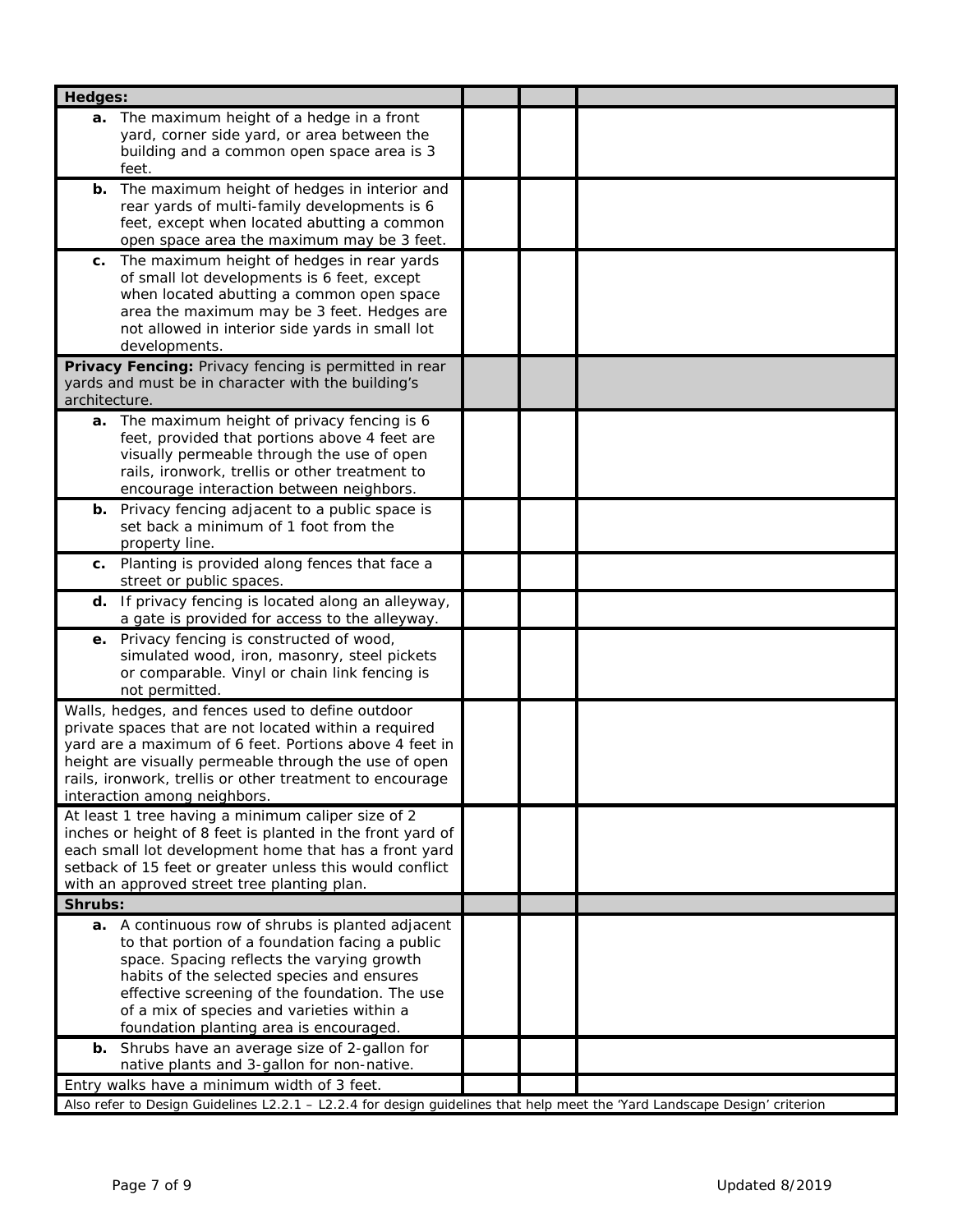| Hedges:                                                                                                                                                                                                                                                                                                                                     |  |
|---------------------------------------------------------------------------------------------------------------------------------------------------------------------------------------------------------------------------------------------------------------------------------------------------------------------------------------------|--|
| a. The maximum height of a hedge in a front<br>yard, corner side yard, or area between the<br>building and a common open space area is 3                                                                                                                                                                                                    |  |
| feet.<br>The maximum height of hedges in interior and<br>b.<br>rear yards of multi-family developments is 6<br>feet, except when located abutting a common<br>open space area the maximum may be 3 feet.                                                                                                                                    |  |
| The maximum height of hedges in rear yards<br>С.<br>of small lot developments is 6 feet, except<br>when located abutting a common open space<br>area the maximum may be 3 feet. Hedges are<br>not allowed in interior side yards in small lot<br>developments.                                                                              |  |
| Privacy Fencing: Privacy fencing is permitted in rear<br>yards and must be in character with the building's<br>architecture.                                                                                                                                                                                                                |  |
| a. The maximum height of privacy fencing is 6<br>feet, provided that portions above 4 feet are<br>visually permeable through the use of open<br>rails, ironwork, trellis or other treatment to<br>encourage interaction between neighbors.                                                                                                  |  |
| <b>b.</b> Privacy fencing adjacent to a public space is<br>set back a minimum of 1 foot from the<br>property line.                                                                                                                                                                                                                          |  |
| Planting is provided along fences that face a<br>С.<br>street or public spaces.                                                                                                                                                                                                                                                             |  |
| d. If privacy fencing is located along an alleyway,<br>a gate is provided for access to the alleyway.                                                                                                                                                                                                                                       |  |
| e. Privacy fencing is constructed of wood,<br>simulated wood, iron, masonry, steel pickets<br>or comparable. Vinyl or chain link fencing is<br>not permitted.                                                                                                                                                                               |  |
| Walls, hedges, and fences used to define outdoor<br>private spaces that are not located within a required<br>yard are a maximum of 6 feet. Portions above 4 feet in<br>height are visually permeable through the use of open<br>rails, ironwork, trellis or other treatment to encourage<br>interaction among neighbors.                    |  |
| At least 1 tree having a minimum caliper size of 2<br>inches or height of 8 feet is planted in the front yard of<br>each small lot development home that has a front yard<br>setback of 15 feet or greater unless this would conflict<br>with an approved street tree planting plan.                                                        |  |
| Shrubs:                                                                                                                                                                                                                                                                                                                                     |  |
| a. A continuous row of shrubs is planted adjacent<br>to that portion of a foundation facing a public<br>space. Spacing reflects the varying growth<br>habits of the selected species and ensures<br>effective screening of the foundation. The use<br>of a mix of species and varieties within a<br>foundation planting area is encouraged. |  |
| Shrubs have an average size of 2-gallon for<br>b.<br>native plants and 3-gallon for non-native.                                                                                                                                                                                                                                             |  |
| Entry walks have a minimum width of 3 feet.                                                                                                                                                                                                                                                                                                 |  |
| Also refer to Design Guidelines L2.2.1 - L2.2.4 for design guidelines that help meet the 'Yard Landscape Design' criterion                                                                                                                                                                                                                  |  |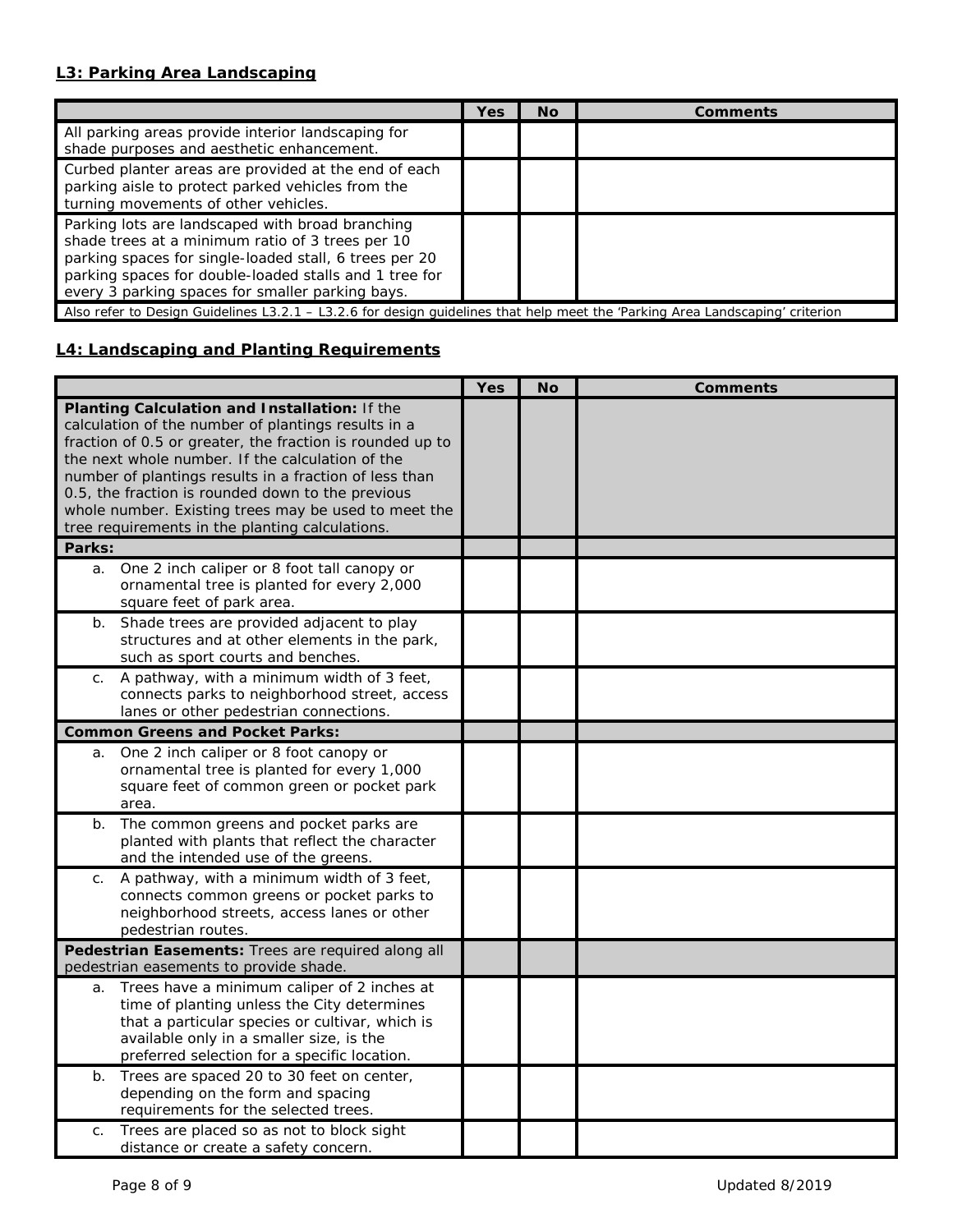## **L3: Parking Area Landscaping**

|                                                                                                                                                                                                                                                                              | Yes | <b>No</b> | Comments |
|------------------------------------------------------------------------------------------------------------------------------------------------------------------------------------------------------------------------------------------------------------------------------|-----|-----------|----------|
| All parking areas provide interior landscaping for<br>shade purposes and aesthetic enhancement.                                                                                                                                                                              |     |           |          |
| Curbed planter areas are provided at the end of each<br>parking aisle to protect parked vehicles from the<br>turning movements of other vehicles.                                                                                                                            |     |           |          |
| Parking lots are landscaped with broad branching<br>shade trees at a minimum ratio of 3 trees per 10<br>parking spaces for single-loaded stall, 6 trees per 20<br>parking spaces for double-loaded stalls and 1 tree for<br>every 3 parking spaces for smaller parking bays. |     |           |          |
| Also refer to Design Guidelines L3.2.1 - L3.2.6 for design guidelines that help meet the 'Parking Area Landscaping' criterion                                                                                                                                                |     |           |          |

## **L4: Landscaping and Planting Requirements**

|                                                                                                                                                                                                                                                                                                                                                                                                                                                           | Yes | <b>No</b> | <b>Comments</b> |
|-----------------------------------------------------------------------------------------------------------------------------------------------------------------------------------------------------------------------------------------------------------------------------------------------------------------------------------------------------------------------------------------------------------------------------------------------------------|-----|-----------|-----------------|
| Planting Calculation and Installation: If the<br>calculation of the number of plantings results in a<br>fraction of 0.5 or greater, the fraction is rounded up to<br>the next whole number. If the calculation of the<br>number of plantings results in a fraction of less than<br>0.5, the fraction is rounded down to the previous<br>whole number. Existing trees may be used to meet the<br>tree requirements in the planting calculations.<br>Parks: |     |           |                 |
|                                                                                                                                                                                                                                                                                                                                                                                                                                                           |     |           |                 |
| One 2 inch caliper or 8 foot tall canopy or<br>a.<br>ornamental tree is planted for every 2,000<br>square feet of park area.                                                                                                                                                                                                                                                                                                                              |     |           |                 |
| Shade trees are provided adjacent to play<br>$b$ .<br>structures and at other elements in the park,<br>such as sport courts and benches.                                                                                                                                                                                                                                                                                                                  |     |           |                 |
| A pathway, with a minimum width of 3 feet,<br>C.<br>connects parks to neighborhood street, access<br>lanes or other pedestrian connections.                                                                                                                                                                                                                                                                                                               |     |           |                 |
| <b>Common Greens and Pocket Parks:</b>                                                                                                                                                                                                                                                                                                                                                                                                                    |     |           |                 |
| One 2 inch caliper or 8 foot canopy or<br>a.<br>ornamental tree is planted for every 1,000<br>square feet of common green or pocket park<br>area.                                                                                                                                                                                                                                                                                                         |     |           |                 |
| The common greens and pocket parks are<br>b.<br>planted with plants that reflect the character<br>and the intended use of the greens.                                                                                                                                                                                                                                                                                                                     |     |           |                 |
| A pathway, with a minimum width of 3 feet,<br>$C_{1}$<br>connects common greens or pocket parks to<br>neighborhood streets, access lanes or other<br>pedestrian routes.                                                                                                                                                                                                                                                                                   |     |           |                 |
| Pedestrian Easements: Trees are required along all<br>pedestrian easements to provide shade.                                                                                                                                                                                                                                                                                                                                                              |     |           |                 |
| Trees have a minimum caliper of 2 inches at<br>a.<br>time of planting unless the City determines<br>that a particular species or cultivar, which is<br>available only in a smaller size, is the<br>preferred selection for a specific location.                                                                                                                                                                                                           |     |           |                 |
| Trees are spaced 20 to 30 feet on center,<br>b.<br>depending on the form and spacing<br>requirements for the selected trees.                                                                                                                                                                                                                                                                                                                              |     |           |                 |
| Trees are placed so as not to block sight<br>C.<br>distance or create a safety concern.                                                                                                                                                                                                                                                                                                                                                                   |     |           |                 |